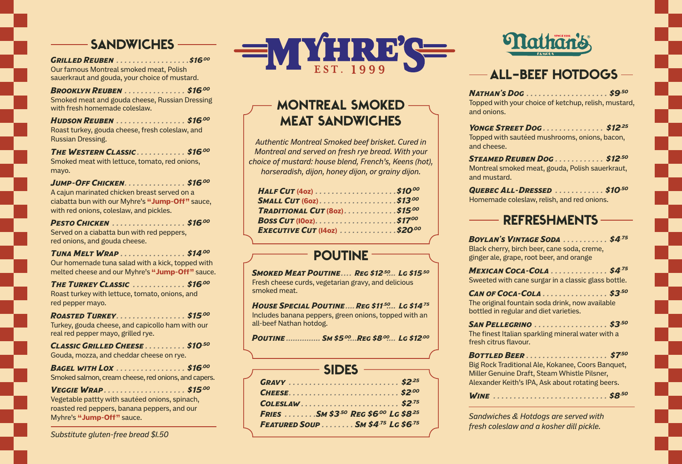*Grilled Reuben . . . . . . . . . . . . . . . . . \$16.00* Our famous Montreal smoked meat, Polish sauerkraut and gouda, your choice of mustard.

*Brooklyn Reuben . . . . . . . . . . . . . . . \$16.00* Smoked meat and gouda cheese, Russian Dressing with fresh homemade coleslaw.

*Hudson Reuben . . . . . . . . . . . . . . . . . \$16.00* Roast turkey, gouda cheese, fresh coleslaw, and Russian Dressing.

*The Western Classic . . . . . . . . . . . . \$16.00* Smoked meat with lettuce, tomato, red onions, mayo.

*Jump-Off Chicken . . . . . . . . . . . . . . . \$16.00* A cajun marinated chicken breast served on a ciabatta bun with our Myhre's **"Jump-Off"** sauce, with red onions, coleslaw, and pickles.

*Pesto Chicken . . . . . . . . . . . . . . . . . . \$16.00* Served on a ciabatta bun with red peppers, red onions, and gouda cheese.

*Tuna Melt Wrap . . . . . . . . . . . . . . . . \$14.00* Our homemade tuna salad with a kick, topped with melted cheese and our Myhre's **"Jump-Off"** sauce.

*The Turkey Classic . . . . . . . . . . . . . \$16.00* Roast turkey with lettuce, tomato, onions, and red pepper mayo.

*Roasted Turkey . . . . . . . . . . . . . . . . . \$15.00* Turkey, gouda cheese, and capicollo ham with our real red pepper mayo, grilled rye.

*Classic Grilled Cheese . . . . . . . . . . \$10.50* Gouda, mozza, and cheddar cheese on rye.

*Bagel with Lox . . . . . . . . . . . . . . . . . \$16.00* Smoked salmon, cream cheese, red onions, and capers.

*Veggie Wrap . . . . . . . . . . . . . . . . . . . . \$15.00* Vegetable pattty with sautéed onions, spinach, roasted red peppers, banana peppers, and our Myhre's **"Jump-Off"** sauce.

*Substitute gluten-free bread \$1.50*



# MONTREAL SMOKED MEAT SANDWICHES

*Authentic Montreal Smoked beef brisket. Cured in Montreal and served on fresh rye bread. With your choice of mustard: house blend, French's, Keens (hot), horseradish, dijon, honey dijon, or grainy dijon.*

| HALF CUT (40z) $\ldots$ \$10.00     |  |
|-------------------------------------|--|
|                                     |  |
| TRADITIONAL CUT (80Z). \$15.00      |  |
|                                     |  |
| <b>EXECUTIVE CUT (1402) \$20.00</b> |  |

## POUTINE -

*Smoked Meat Poutine..... Reg \$12.50 ..... Lg \$15.50* Fresh cheese curds, vegetarian gravy, and delicious smoked meat.

*House Special Poutine.....Reg \$11.50 ..... Lg \$14.75* Includes banana peppers, green onions, topped with an all-beef Nathan hotdog.

*Poutine................ Sm \$5.00 .....Reg \$8.00 ..... Lg \$12.00*

|  |  | FRIES SM \$3.50 REG \$6.00 LG \$8.25 |  |  |  |  |  |  |  |  |  |  |  |  |
|--|--|--------------------------------------|--|--|--|--|--|--|--|--|--|--|--|--|
|  |  | FEATURED SOUP  SM \$4.75 LG \$6.75   |  |  |  |  |  |  |  |  |  |  |  |  |



#### ALL-BEEF HOTDOGS

*Nathan's Dog . . . . . . . . . . . . . . . . . . . . \$9.50* Topped with your choice of ketchup, relish, mustard, and onions.

*Yonge Street Dog . . . . . . . . . . . . . . . \$12.25* Topped with sautéed mushrooms, onions, bacon, and cheese.

*Steamed Reuben Dog . . . . . . . . . . . . \$12.50* Montreal smoked meat, gouda, Polish sauerkraut, and mustard.

*Quebec All-Dressed . . . . . . . . . . . . \$10.50* Homemade coleslaw, relish, and red onions.

## REFRESHMENTS

*Boylan's Vintage Soda . . . . . . . . . . . \$4.75* Black cherry, birch beer, cane soda, creme, ginger ale, grape, root beer, and orange

*Mexican Coca-Cola . . . . . . . . . . . . . . \$4.75* Sweeted with cane surgar in a classic glass bottle.

*Can of Coca-Cola . . . . . . . . . . . . . . . . \$3.50* The original fountain soda drink, now available bottled in regular and diet varieties.

*San Pellegrino . . . . . . . . . . . . . . . . . . \$3.50* The finest Italian sparkling mineral water with a fresh citrus flavour.

| WINE  \$8.50 |  |  |  |  |  |  |  |  |  |  |  |  |  |  |  |  |  |  |  |  |  |  |  |  |  |  |  |  |  |  |
|--------------|--|--|--|--|--|--|--|--|--|--|--|--|--|--|--|--|--|--|--|--|--|--|--|--|--|--|--|--|--|--|
|--------------|--|--|--|--|--|--|--|--|--|--|--|--|--|--|--|--|--|--|--|--|--|--|--|--|--|--|--|--|--|--|

*Sandwiches & Hotdogs are served with fresh coleslaw and a kosher dill pickle.*